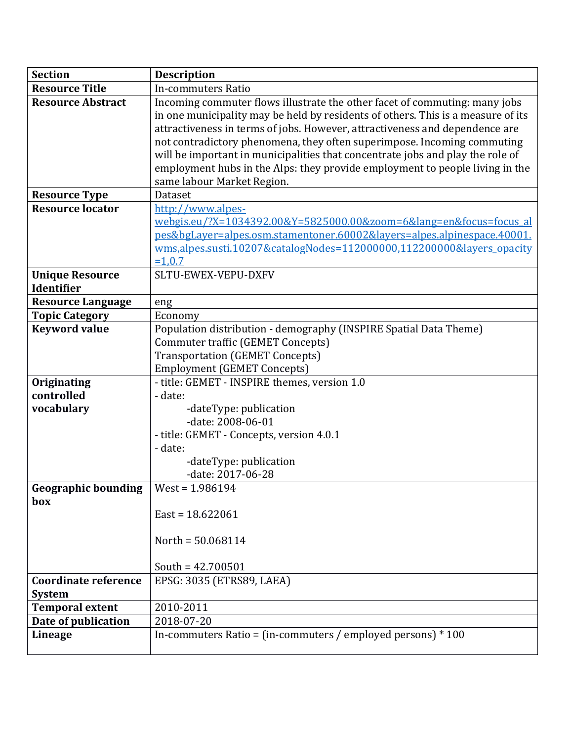| <b>Section</b>              | <b>Description</b>                                                               |
|-----------------------------|----------------------------------------------------------------------------------|
| <b>Resource Title</b>       | In-commuters Ratio                                                               |
| <b>Resource Abstract</b>    | Incoming commuter flows illustrate the other facet of commuting: many jobs       |
|                             | in one municipality may be held by residents of others. This is a measure of its |
|                             | attractiveness in terms of jobs. However, attractiveness and dependence are      |
|                             | not contradictory phenomena, they often superimpose. Incoming commuting          |
|                             | will be important in municipalities that concentrate jobs and play the role of   |
|                             | employment hubs in the Alps: they provide employment to people living in the     |
|                             | same labour Market Region.                                                       |
| <b>Resource Type</b>        | Dataset                                                                          |
| <b>Resource locator</b>     | http://www.alpes-                                                                |
|                             | webgis.eu/?X=1034392.00&Y=5825000.00&zoom=6⟨=en&focus=focus al                   |
|                             | pes&bgLayer=alpes.osm.stamentoner.60002&layers=alpes.alpinespace.40001.          |
|                             | wms, alpes.susti.10207&catalogNodes=112000000,112200000&layers_opacity           |
|                             | $=1,0.7$                                                                         |
| <b>Unique Resource</b>      | SLTU-EWEX-VEPU-DXFV                                                              |
| Identifier                  |                                                                                  |
| <b>Resource Language</b>    | eng                                                                              |
| <b>Topic Category</b>       | Economy                                                                          |
| <b>Keyword value</b>        | Population distribution - demography (INSPIRE Spatial Data Theme)                |
|                             | <b>Commuter traffic (GEMET Concepts)</b>                                         |
|                             | <b>Transportation (GEMET Concepts)</b>                                           |
|                             | <b>Employment (GEMET Concepts)</b>                                               |
| Originating                 | - title: GEMET - INSPIRE themes, version 1.0                                     |
| controlled                  | - date:                                                                          |
| vocabulary                  | -dateType: publication                                                           |
|                             | -date: 2008-06-01                                                                |
|                             | - title: GEMET - Concepts, version 4.0.1                                         |
|                             | - date:                                                                          |
|                             | -dateType: publication                                                           |
|                             | -date: 2017-06-28                                                                |
| <b>Geographic bounding</b>  | $West = 1.986194$                                                                |
| box                         |                                                                                  |
|                             | $East = 18.622061$                                                               |
|                             |                                                                                  |
|                             | North = $50.068114$                                                              |
|                             |                                                                                  |
|                             | South = $42.700501$                                                              |
| <b>Coordinate reference</b> | EPSG: 3035 (ETRS89, LAEA)                                                        |
| <b>System</b>               |                                                                                  |
| <b>Temporal extent</b>      | 2010-2011                                                                        |
| Date of publication         | 2018-07-20                                                                       |
| <b>Lineage</b>              | In-commuters Ratio = (in-commuters / employed persons) $*100$                    |
|                             |                                                                                  |